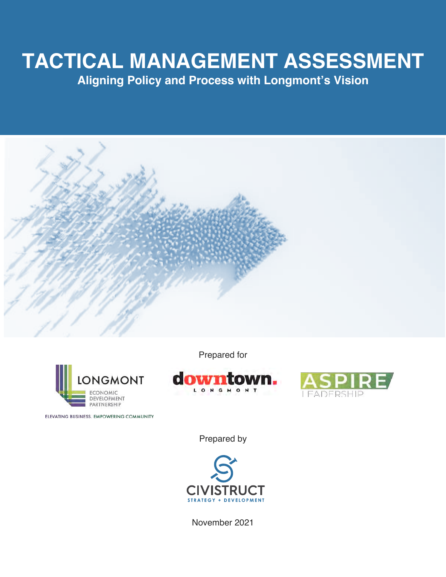# **TACTICAL MANAGEMENT ASSESSMENT**

**Aligning Policy and Process with Longmont's Vision**





ELEVATING BUSINESS. EMPOWERING COMMUNITY.

Prepared for





Prepared by



November 2021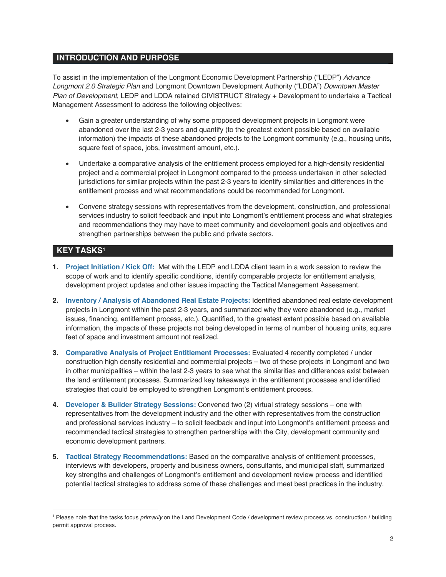# **INTRODUCTION AND PURPOSE**

To assist in the implementation of the Longmont Economic Development Partnership ("LEDP") *Advance Longmont 2.0 Strategic Plan* and Longmont Downtown Development Authority ("LDDA") *Downtown Master Plan of Development*, LEDP and LDDA retained CIVISTRUCT Strategy + Development to undertake a Tactical Management Assessment to address the following objectives:

- Gain a greater understanding of why some proposed development projects in Longmont were abandoned over the last 2-3 years and quantify (to the greatest extent possible based on available information) the impacts of these abandoned projects to the Longmont community (e.g., housing units, square feet of space, jobs, investment amount, etc.).
- Undertake a comparative analysis of the entitlement process employed for a high-density residential project and a commercial project in Longmont compared to the process undertaken in other selected jurisdictions for similar projects within the past 2-3 years to identify similarities and differences in the entitlement process and what recommendations could be recommended for Longmont.
- Convene strategy sessions with representatives from the development, construction, and professional services industry to solicit feedback and input into Longmont's entitlement process and what strategies and recommendations they may have to meet community and development goals and objectives and strengthen partnerships between the public and private sectors.

# **KEY TASKS1**

- **1. Project Initiation / Kick Off:** Met with the LEDP and LDDA client team in a work session to review the scope of work and to identify specific conditions, identify comparable projects for entitlement analysis, development project updates and other issues impacting the Tactical Management Assessment.
- **2. Inventory / Analysis of Abandoned Real Estate Projects:** Identified abandoned real estate development projects in Longmont within the past 2-3 years, and summarized why they were abandoned (e.g., market issues, financing, entitlement process, etc.). Quantified, to the greatest extent possible based on available information, the impacts of these projects not being developed in terms of number of housing units, square feet of space and investment amount not realized.
- **3. Comparative Analysis of Project Entitlement Processes:** Evaluated 4 recently completed / under construction high density residential and commercial projects – two of these projects in Longmont and two in other municipalities – within the last 2-3 years to see what the similarities and differences exist between the land entitlement processes. Summarized key takeaways in the entitlement processes and identified strategies that could be employed to strengthen Longmont's entitlement process.
- **4. Developer & Builder Strategy Sessions:** Convened two (2) virtual strategy sessions one with representatives from the development industry and the other with representatives from the construction and professional services industry – to solicit feedback and input into Longmont's entitlement process and recommended tactical strategies to strengthen partnerships with the City, development community and economic development partners.
- **5. Tactical Strategy Recommendations:** Based on the comparative analysis of entitlement processes, interviews with developers, property and business owners, consultants, and municipal staff, summarized key strengths and challenges of Longmont's entitlement and development review process and identified potential tactical strategies to address some of these challenges and meet best practices in the industry.

<sup>&</sup>lt;sup>1</sup> Please note that the tasks focus *primarily* on the Land Development Code / development review process vs. construction / building permit approval process.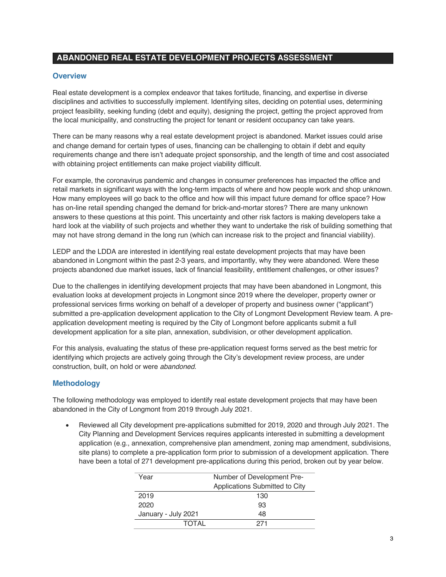# **ABANDONED REAL ESTATE DEVELOPMENT PROJECTS ASSESSMENT**

#### **Overview**

Real estate development is a complex endeavor that takes fortitude, financing, and expertise in diverse disciplines and activities to successfully implement. Identifying sites, deciding on potential uses, determining project feasibility, seeking funding (debt and equity), designing the project, getting the project approved from the local municipality, and constructing the project for tenant or resident occupancy can take years.

There can be many reasons why a real estate development project is abandoned. Market issues could arise and change demand for certain types of uses, financing can be challenging to obtain if debt and equity requirements change and there isn't adequate project sponsorship, and the length of time and cost associated with obtaining project entitlements can make project viability difficult.

For example, the coronavirus pandemic and changes in consumer preferences has impacted the office and retail markets in significant ways with the long-term impacts of where and how people work and shop unknown. How many employees will go back to the office and how will this impact future demand for office space? How has on-line retail spending changed the demand for brick-and-mortar stores? There are many unknown answers to these questions at this point. This uncertainty and other risk factors is making developers take a hard look at the viability of such projects and whether they want to undertake the risk of building something that may not have strong demand in the long run (which can increase risk to the project and financial viability).

LEDP and the LDDA are interested in identifying real estate development projects that may have been abandoned in Longmont within the past 2-3 years, and importantly, why they were abandoned. Were these projects abandoned due market issues, lack of financial feasibility, entitlement challenges, or other issues?

Due to the challenges in identifying development projects that may have been abandoned in Longmont, this evaluation looks at development projects in Longmont since 2019 where the developer, property owner or professional services firms working on behalf of a developer of property and business owner ("applicant") submitted a pre-application development application to the City of Longmont Development Review team. A preapplication development meeting is required by the City of Longmont before applicants submit a full development application for a site plan, annexation, subdivision, or other development application.

For this analysis, evaluating the status of these pre-application request forms served as the best metric for identifying which projects are actively going through the City's development review process, are under construction, built, on hold or were *abandoned*.

# **Methodology**

The following methodology was employed to identify real estate development projects that may have been abandoned in the City of Longmont from 2019 through July 2021.

• Reviewed all City development pre-applications submitted for 2019, 2020 and through July 2021. The City Planning and Development Services requires applicants interested in submitting a development application (e.g., annexation, comprehensive plan amendment, zoning map amendment, subdivisions, site plans) to complete a pre-application form prior to submission of a development application. There have been a total of 271 development pre-applications during this period, broken out by year below.

| Year                | Number of Development Pre-     |  |
|---------------------|--------------------------------|--|
|                     | Applications Submitted to City |  |
| 2019                | 130                            |  |
| 2020                | 93                             |  |
| January - July 2021 | 48                             |  |
| TOTAI               | 271                            |  |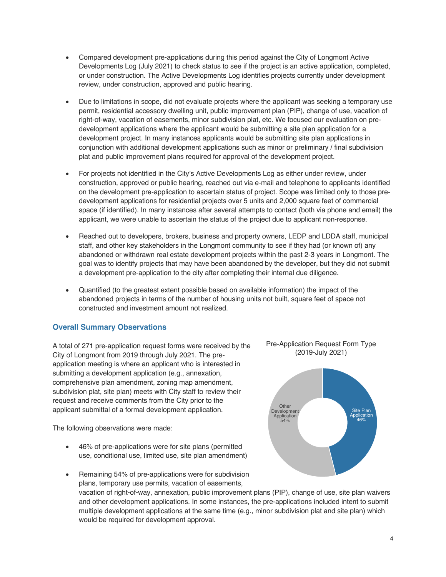- Compared development pre-applications during this period against the City of Longmont Active Developments Log (July 2021) to check status to see if the project is an active application, completed, or under construction. The Active Developments Log identifies projects currently under development review, under construction, approved and public hearing.
- Due to limitations in scope, did not evaluate projects where the applicant was seeking a temporary use permit, residential accessory dwelling unit, public improvement plan (PIP), change of use, vacation of right-of-way, vacation of easements, minor subdivision plat, etc. We focused our evaluation on predevelopment applications where the applicant would be submitting a site plan application for a development project. In many instances applicants would be submitting site plan applications in conjunction with additional development applications such as minor or preliminary / final subdivision plat and public improvement plans required for approval of the development project.
- For projects not identified in the City's Active Developments Log as either under review, under construction, approved or public hearing, reached out via e-mail and telephone to applicants identified on the development pre-application to ascertain status of project. Scope was limited only to those predevelopment applications for residential projects over 5 units and 2,000 square feet of commercial space (if identified). In many instances after several attempts to contact (both via phone and email) the applicant, we were unable to ascertain the status of the project due to applicant non-response.
- Reached out to developers, brokers, business and property owners, LEDP and LDDA staff, municipal staff, and other key stakeholders in the Longmont community to see if they had (or known of) any abandoned or withdrawn real estate development projects within the past 2-3 years in Longmont. The goal was to identify projects that may have been abandoned by the developer, but they did not submit a development pre-application to the city after completing their internal due diligence.
- Quantified (to the greatest extent possible based on available information) the impact of the abandoned projects in terms of the number of housing units not built, square feet of space not constructed and investment amount not realized.

# **Overall Summary Observations**

A total of 271 pre-application request forms were received by the City of Longmont from 2019 through July 2021. The preapplication meeting is where an applicant who is interested in submitting a development application (e.g., annexation, comprehensive plan amendment, zoning map amendment, subdivision plat, site plan) meets with City staff to review their request and receive comments from the City prior to the applicant submittal of a formal development application.

The following observations were made:

• 46% of pre-applications were for site plans (permitted use, conditional use, limited use, site plan amendment)





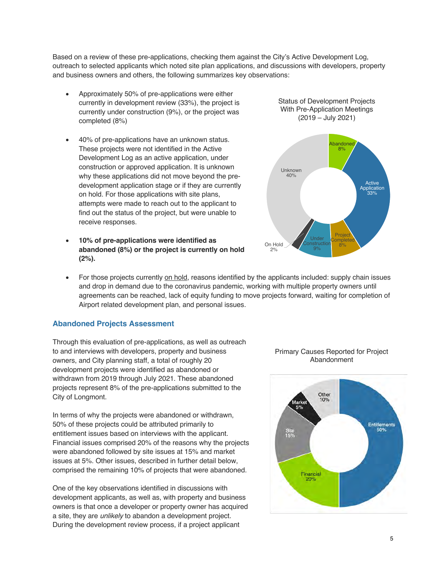Based on a review of these pre-applications, checking them against the City's Active Development Log, outreach to selected applicants which noted site plan applications, and discussions with developers, property and business owners and others, the following summarizes key observations:

- Approximately 50% of pre-applications were either currently in development review (33%), the project is currently under construction (9%), or the project was completed (8%)
- 40% of pre-applications have an unknown status. These projects were not identified in the Active Development Log as an active application, under construction or approved application. It is unknown why these applications did not move beyond the predevelopment application stage or if they are currently on hold. For those applications with site plans, attempts were made to reach out to the applicant to find out the status of the project, but were unable to receive responses.
- **10% of pre-applications were identified as abandoned (8%) or the project is currently on hold (2%).**

Status of Development Projects With Pre-Application Meetings (2019 – July 2021)



• For those projects currently on hold, reasons identified by the applicants included: supply chain issues and drop in demand due to the coronavirus pandemic, working with multiple property owners until agreements can be reached, lack of equity funding to move projects forward, waiting for completion of Airport related development plan, and personal issues.

#### **Abandoned Projects Assessment**

Through this evaluation of pre-applications, as well as outreach to and interviews with developers, property and business owners, and City planning staff, a total of roughly 20 development projects were identified as abandoned or withdrawn from 2019 through July 2021. These abandoned projects represent 8% of the pre-applications submitted to the City of Longmont.

In terms of why the projects were abandoned or withdrawn, 50% of these projects could be attributed primarily to entitlement issues based on interviews with the applicant. Financial issues comprised 20% of the reasons why the projects were abandoned followed by site issues at 15% and market issues at 5%. Other issues, described in further detail below, comprised the remaining 10% of projects that were abandoned.

One of the key observations identified in discussions with development applicants, as well as, with property and business owners is that once a developer or property owner has acquired a site, they are *unlikely* to abandon a development project. During the development review process, if a project applicant



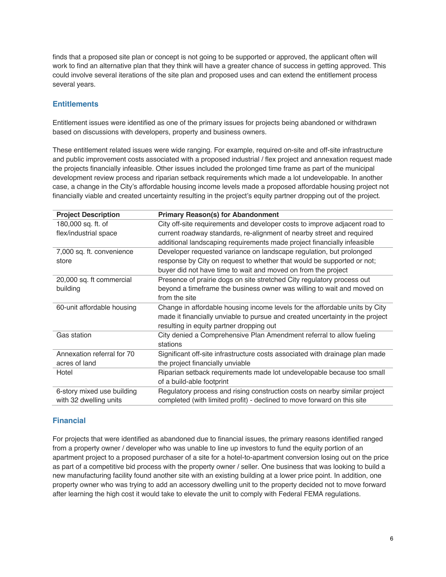finds that a proposed site plan or concept is not going to be supported or approved, the applicant often will work to find an alternative plan that they think will have a greater chance of success in getting approved. This could involve several iterations of the site plan and proposed uses and can extend the entitlement process several years.

#### **Entitlements**

Entitlement issues were identified as one of the primary issues for projects being abandoned or withdrawn based on discussions with developers, property and business owners.

These entitlement related issues were wide ranging. For example, required on-site and off-site infrastructure and public improvement costs associated with a proposed industrial / flex project and annexation request made the projects financially infeasible. Other issues included the prolonged time frame as part of the municipal development review process and riparian setback requirements which made a lot undevelopable. In another case, a change in the City's affordable housing income levels made a proposed affordable housing project not financially viable and created uncertainty resulting in the project's equity partner dropping out of the project.

| <b>Project Description</b> | <b>Primary Reason(s) for Abandonment</b>                                      |
|----------------------------|-------------------------------------------------------------------------------|
| 180,000 sq. ft. of         | City off-site requirements and developer costs to improve adjacent road to    |
| flex/industrial space      | current roadway standards, re-alignment of nearby street and required         |
|                            | additional landscaping requirements made project financially infeasible       |
| 7,000 sq. ft. convenience  | Developer requested variance on landscape regulation, but prolonged           |
| store                      | response by City on request to whether that would be supported or not;        |
|                            | buyer did not have time to wait and moved on from the project                 |
| 20,000 sq. ft commercial   | Presence of prairie dogs on site stretched City regulatory process out        |
| building                   | beyond a timeframe the business owner was willing to wait and moved on        |
|                            | from the site                                                                 |
| 60-unit affordable housing | Change in affordable housing income levels for the affordable units by City   |
|                            | made it financially unviable to pursue and created uncertainty in the project |
|                            | resulting in equity partner dropping out                                      |
| Gas station                | City denied a Comprehensive Plan Amendment referral to allow fueling          |
|                            | stations                                                                      |
| Annexation referral for 70 | Significant off-site infrastructure costs associated with drainage plan made  |
| acres of land              | the project financially unviable                                              |
| Hotel                      | Riparian setback requirements made lot undevelopable because too small        |
|                            | of a build-able footprint                                                     |
| 6-story mixed use building | Regulatory process and rising construction costs on nearby similar project    |
| with 32 dwelling units     | completed (with limited profit) - declined to move forward on this site       |

# **Financial**

For projects that were identified as abandoned due to financial issues, the primary reasons identified ranged from a property owner / developer who was unable to line up investors to fund the equity portion of an apartment project to a proposed purchaser of a site for a hotel-to-apartment conversion losing out on the price as part of a competitive bid process with the property owner / seller. One business that was looking to build a new manufacturing facility found another site with an existing building at a lower price point. In addition, one property owner who was trying to add an accessory dwelling unit to the property decided not to move forward after learning the high cost it would take to elevate the unit to comply with Federal FEMA regulations.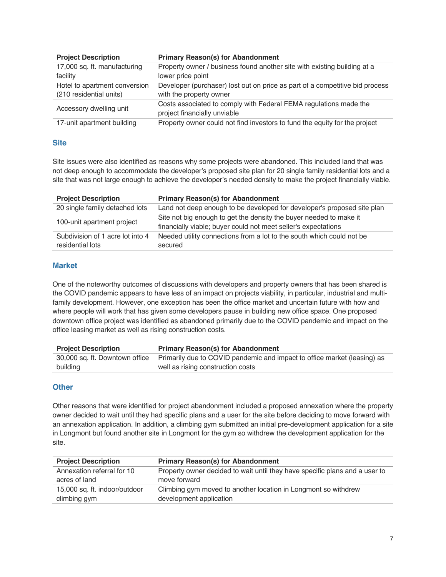| <b>Project Description</b>    | <b>Primary Reason(s) for Abandonment</b>                                     |
|-------------------------------|------------------------------------------------------------------------------|
| 17,000 sq. ft. manufacturing  | Property owner / business found another site with existing building at a     |
| facility                      | lower price point                                                            |
| Hotel to apartment conversion | Developer (purchaser) lost out on price as part of a competitive bid process |
| (210 residential units)       | with the property owner                                                      |
| Accessory dwelling unit       | Costs associated to comply with Federal FEMA regulations made the            |
|                               | project financially unviable                                                 |
| 17-unit apartment building    | Property owner could not find investors to fund the equity for the project   |

# **Site**

Site issues were also identified as reasons why some projects were abandoned. This included land that was not deep enough to accommodate the developer's proposed site plan for 20 single family residential lots and a site that was not large enough to achieve the developer's needed density to make the project financially viable.

| <b>Project Description</b>       | <b>Primary Reason(s) for Abandonment</b>                                |
|----------------------------------|-------------------------------------------------------------------------|
| 20 single family detached lots   | Land not deep enough to be developed for developer's proposed site plan |
| 100-unit apartment project       | Site not big enough to get the density the buyer needed to make it      |
|                                  | financially viable; buyer could not meet seller's expectations          |
| Subdivision of 1 acre lot into 4 | Needed utility connections from a lot to the south which could not be   |
| residential lots                 | secured                                                                 |

# **Market**

One of the noteworthy outcomes of discussions with developers and property owners that has been shared is the COVID pandemic appears to have less of an impact on projects viability, in particular, industrial and multifamily development. However, one exception has been the office market and uncertain future with how and where people will work that has given some developers pause in building new office space. One proposed downtown office project was identified as abandoned primarily due to the COVID pandemic and impact on the office leasing market as well as rising construction costs.

| <b>Project Description</b>     | <b>Primary Reason(s) for Abandonment</b>                                 |
|--------------------------------|--------------------------------------------------------------------------|
| 30,000 sq. ft. Downtown office | Primarily due to COVID pandemic and impact to office market (leasing) as |
| building                       | well as rising construction costs                                        |

# **Other**

Other reasons that were identified for project abandonment included a proposed annexation where the property owner decided to wait until they had specific plans and a user for the site before deciding to move forward with an annexation application. In addition, a climbing gym submitted an initial pre-development application for a site in Longmont but found another site in Longmont for the gym so withdrew the development application for the site.

| <b>Primary Reason(s) for Abandonment</b><br><b>Project Description</b> |                                                                             |
|------------------------------------------------------------------------|-----------------------------------------------------------------------------|
| Annexation referral for 10                                             | Property owner decided to wait until they have specific plans and a user to |
| acres of land                                                          | move forward                                                                |
| 15,000 sq. ft. indoor/outdoor                                          | Climbing gym moved to another location in Longmont so withdrew              |
| climbing gym                                                           | development application                                                     |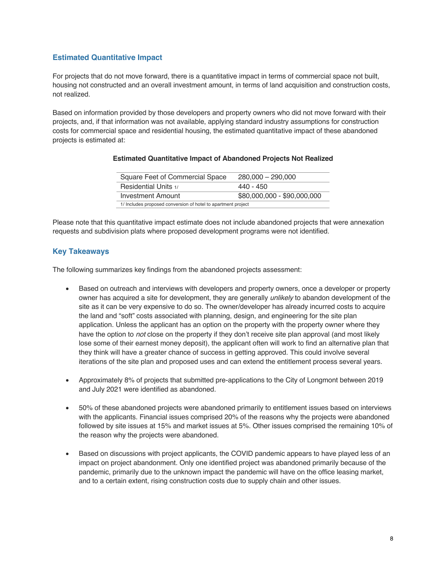#### **Estimated Quantitative Impact**

For projects that do not move forward, there is a quantitative impact in terms of commercial space not built, housing not constructed and an overall investment amount, in terms of land acquisition and construction costs, not realized.

Based on information provided by those developers and property owners who did not move forward with their projects, and, if that information was not available, applying standard industry assumptions for construction costs for commercial space and residential housing, the estimated quantitative impact of these abandoned projects is estimated at:

#### **Estimated Quantitative Impact of Abandoned Projects Not Realized**

| Square Feet of Commercial Space                               | $280,000 - 290,000$ |
|---------------------------------------------------------------|---------------------|
| Residential Units 1/                                          | 440 - 450           |
| \$80,000,000 - \$90,000,000<br>Investment Amount              |                     |
| 1/ Includes proposed conversion of hotel to apartment project |                     |

Please note that this quantitative impact estimate does not include abandoned projects that were annexation requests and subdivision plats where proposed development programs were not identified.

#### **Key Takeaways**

The following summarizes key findings from the abandoned projects assessment:

- Based on outreach and interviews with developers and property owners, once a developer or property owner has acquired a site for development, they are generally *unlikely* to abandon development of the site as it can be very expensive to do so. The owner/developer has already incurred costs to acquire the land and "soft" costs associated with planning, design, and engineering for the site plan application. Unless the applicant has an option on the property with the property owner where they have the option to *not* close on the property if they don't receive site plan approval (and most likely lose some of their earnest money deposit), the applicant often will work to find an alternative plan that they think will have a greater chance of success in getting approved. This could involve several iterations of the site plan and proposed uses and can extend the entitlement process several years.
- Approximately 8% of projects that submitted pre-applications to the City of Longmont between 2019 and July 2021 were identified as abandoned.
- 50% of these abandoned projects were abandoned primarily to entitlement issues based on interviews with the applicants. Financial issues comprised 20% of the reasons why the projects were abandoned followed by site issues at 15% and market issues at 5%. Other issues comprised the remaining 10% of the reason why the projects were abandoned.
- Based on discussions with project applicants, the COVID pandemic appears to have played less of an impact on project abandonment. Only one identified project was abandoned primarily because of the pandemic, primarily due to the unknown impact the pandemic will have on the office leasing market, and to a certain extent, rising construction costs due to supply chain and other issues.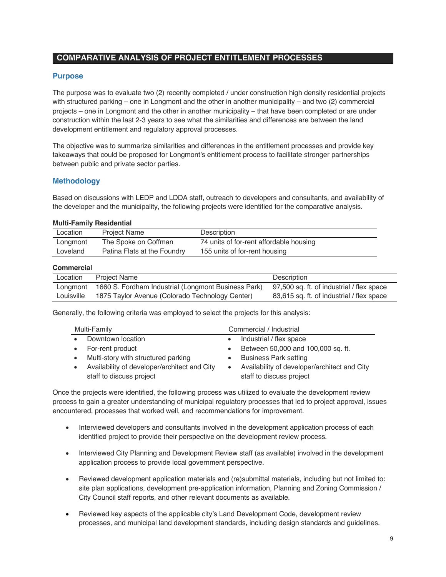# **COMPARATIVE ANALYSIS OF PROJECT ENTITLEMENT PROCESSES**

#### **Purpose**

The purpose was to evaluate two (2) recently completed / under construction high density residential projects with structured parking – one in Longmont and the other in another municipality – and two (2) commercial projects – one in Longmont and the other in another municipality – that have been completed or are under construction within the last 2-3 years to see what the similarities and differences are between the land development entitlement and regulatory approval processes.

The objective was to summarize similarities and differences in the entitlement processes and provide key takeaways that could be proposed for Longmont's entitlement process to facilitate stronger partnerships between public and private sector parties.

#### **Methodology**

Based on discussions with LEDP and LDDA staff, outreach to developers and consultants, and availability of the developer and the municipality, the following projects were identified for the comparative analysis.

#### **Multi-Family Residential**

| Location | <b>Project Name</b>         | Description                             |
|----------|-----------------------------|-----------------------------------------|
| Longmont | The Spoke on Coffman        | 74 units of for-rent affordable housing |
| Loveland | Patina Flats at the Foundry | 155 units of for-rent housing           |

#### **Commercial**

| ------------ |                                                     |                                           |
|--------------|-----------------------------------------------------|-------------------------------------------|
| Location     | <b>Project Name</b>                                 | Description                               |
| Lonamont     | 1660 S. Fordham Industrial (Longmont Business Park) | 97,500 sq. ft. of industrial / flex space |
| Louisville   | 1875 Taylor Avenue (Colorado Technology Center)     | 83,615 sq. ft. of industrial / flex space |

Generally, the following criteria was employed to select the projects for this analysis:

|           | Multi-Family                                                             | Commercial / Industrial                                                  |
|-----------|--------------------------------------------------------------------------|--------------------------------------------------------------------------|
| $\bullet$ | Downtown location                                                        | Industrial / flex space                                                  |
| $\bullet$ | For-rent product                                                         | Between 50,000 and 100,000 sq. ft.                                       |
| $\bullet$ | Multi-story with structured parking                                      | <b>Business Park setting</b>                                             |
| $\bullet$ | Availability of developer/architect and City<br>staff to discuss project | Availability of developer/architect and City<br>staff to discuss project |

Once the projects were identified, the following process was utilized to evaluate the development review process to gain a greater understanding of municipal regulatory processes that led to project approval, issues encountered, processes that worked well, and recommendations for improvement.

- Interviewed developers and consultants involved in the development application process of each identified project to provide their perspective on the development review process.
- Interviewed City Planning and Development Review staff (as available) involved in the development application process to provide local government perspective.
- Reviewed development application materials and (re)submittal materials, including but not limited to: site plan applications, development pre-application information, Planning and Zoning Commission / City Council staff reports, and other relevant documents as available.
- Reviewed key aspects of the applicable city's Land Development Code, development review processes, and municipal land development standards, including design standards and guidelines.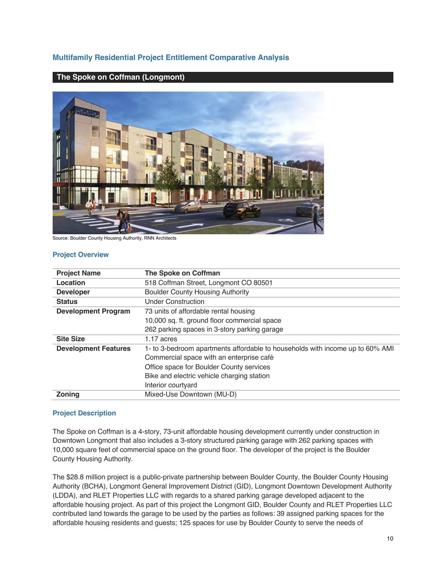# **Multifamily Residential Project Entitlement Comparative Analysis**

#### **The Spoke on Coffman (Longmont)**



Source: Boulder County Housing Authority, RNN Architects

#### **Project Overview**

| <b>Project Name</b>                                                                                          | The Spoke on Coffman                         |  |
|--------------------------------------------------------------------------------------------------------------|----------------------------------------------|--|
| Location                                                                                                     | 518 Coffman Street, Longmont CO 80501        |  |
| <b>Developer</b>                                                                                             | <b>Boulder County Housing Authority</b>      |  |
| <b>Status</b>                                                                                                | Under Construction                           |  |
| <b>Development Program</b>                                                                                   | 73 units of affordable rental housing        |  |
|                                                                                                              | 10,000 sq. ft. ground floor commercial space |  |
|                                                                                                              | 262 parking spaces in 3-story parking garage |  |
| <b>Site Size</b>                                                                                             | 1.17 acres                                   |  |
| 1- to 3-bedroom apartments affordable to households with income up to 60% AMI<br><b>Development Features</b> |                                              |  |
|                                                                                                              | Commercial space with an enterprise café     |  |
|                                                                                                              | Office space for Boulder County services     |  |
|                                                                                                              | Bike and electric vehicle charging station   |  |
|                                                                                                              | Interior courtyard                           |  |
| <b>Zoning</b>                                                                                                | Mixed-Use Downtown (MU-D)                    |  |

#### **Project Description**

The Spoke on Coffman is a 4-story, 73-unit affordable housing development currently under construction in Downtown Longmont that also includes a 3-story structured parking garage with 262 parking spaces with 10,000 square feet of commercial space on the ground floor. The developer of the project is the Boulder County Housing Authority.

The \$28.8 million project is a public-private partnership between Boulder County, the Boulder County Housing Authority (BCHA), Longmont General Improvement District (GID), Longmont Downtown Development Authority (LDDA), and RLET Properties LLC with regards to a shared parking garage developed adjacent to the affordable housing project. As part of this project the Longmont GID, Boulder County and RLET Properties LLC contributed land towards the garage to be used by the parties as follows: 39 assigned parking spaces for the affordable housing residents and guests; 125 spaces for use by Boulder County to serve the needs of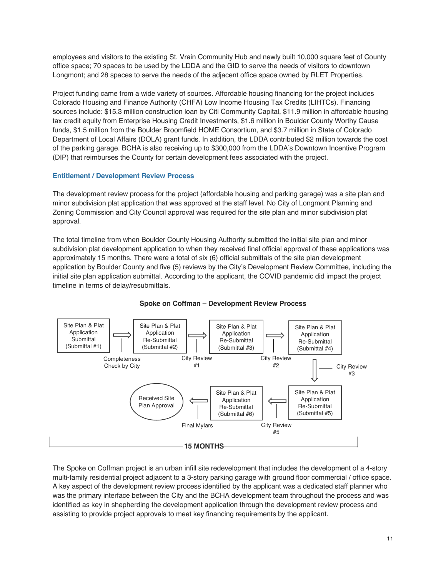employees and visitors to the existing St. Vrain Community Hub and newly built 10,000 square feet of County office space; 70 spaces to be used by the LDDA and the GID to serve the needs of visitors to downtown Longmont; and 28 spaces to serve the needs of the adjacent office space owned by RLET Properties.

Project funding came from a wide variety of sources. Affordable housing financing for the project includes Colorado Housing and Finance Authority (CHFA) Low Income Housing Tax Credits (LIHTCs). Financing sources include: \$15.3 million construction loan by Citi Community Capital, \$11.9 million in affordable housing tax credit equity from Enterprise Housing Credit Investments, \$1.6 million in Boulder County Worthy Cause funds, \$1.5 million from the Boulder Broomfield HOME Consortium, and \$3.7 million in State of Colorado Department of Local Affairs (DOLA) grant funds. In addition, the LDDA contributed \$2 million towards the cost of the parking garage. BCHA is also receiving up to \$300,000 from the LDDA's Downtown Incentive Program (DIP) that reimburses the County for certain development fees associated with the project.

#### **Entitlement / Development Review Process**

The development review process for the project (affordable housing and parking garage) was a site plan and minor subdivision plat application that was approved at the staff level. No City of Longmont Planning and Zoning Commission and City Council approval was required for the site plan and minor subdivision plat approval.

The total timeline from when Boulder County Housing Authority submitted the initial site plan and minor subdivision plat development application to when they received final official approval of these applications was approximately 15 months. There were a total of six (6) official submittals of the site plan development application by Boulder County and five (5) reviews by the City's Development Review Committee, including the initial site plan application submittal. According to the applicant, the COVID pandemic did impact the project timeline in terms of delay/resubmittals.



#### **Spoke on Coffman – Development Review Process**

The Spoke on Coffman project is an urban infill site redevelopment that includes the development of a 4-story multi-family residential project adjacent to a 3-story parking garage with ground floor commercial / office space. A key aspect of the development review process identified by the applicant was a dedicated staff planner who was the primary interface between the City and the BCHA development team throughout the process and was identified as key in shepherding the development application through the development review process and assisting to provide project approvals to meet key financing requirements by the applicant.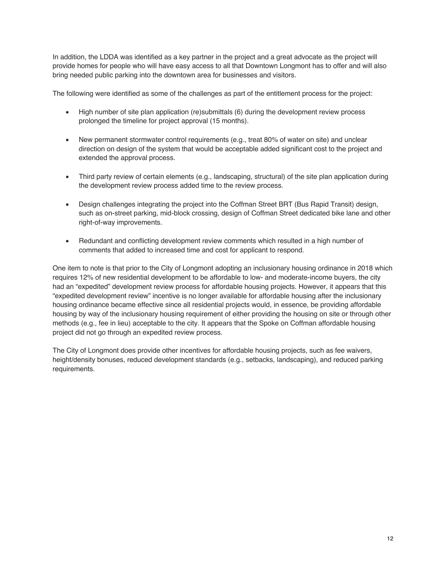In addition, the LDDA was identified as a key partner in the project and a great advocate as the project will provide homes for people who will have easy access to all that Downtown Longmont has to offer and will also bring needed public parking into the downtown area for businesses and visitors.

The following were identified as some of the challenges as part of the entitlement process for the project:

- High number of site plan application (re)submittals (6) during the development review process prolonged the timeline for project approval (15 months).
- New permanent stormwater control requirements (e.g., treat 80% of water on site) and unclear direction on design of the system that would be acceptable added significant cost to the project and extended the approval process.
- Third party review of certain elements (e.g., landscaping, structural) of the site plan application during the development review process added time to the review process.
- Design challenges integrating the project into the Coffman Street BRT (Bus Rapid Transit) design, such as on-street parking, mid-block crossing, design of Coffman Street dedicated bike lane and other right-of-way improvements.
- Redundant and conflicting development review comments which resulted in a high number of comments that added to increased time and cost for applicant to respond.

One item to note is that prior to the City of Longmont adopting an inclusionary housing ordinance in 2018 which requires 12% of new residential development to be affordable to low- and moderate-income buyers, the city had an "expedited" development review process for affordable housing projects. However, it appears that this "expedited development review" incentive is no longer available for affordable housing after the inclusionary housing ordinance became effective since all residential projects would, in essence, be providing affordable housing by way of the inclusionary housing requirement of either providing the housing on site or through other methods (e.g., fee in lieu) acceptable to the city. It appears that the Spoke on Coffman affordable housing project did not go through an expedited review process.

The City of Longmont does provide other incentives for affordable housing projects, such as fee waivers, height/density bonuses, reduced development standards (e.g., setbacks, landscaping), and reduced parking requirements.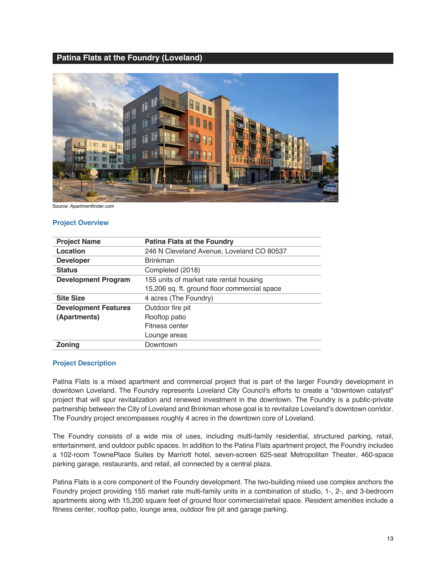# **Patina Flats at the Foundry (Loveland)**



Source: Apartmentfinder.com

#### **Project Overview**

| <b>Project Name</b>         | <b>Patina Flats at the Foundry</b>           |  |
|-----------------------------|----------------------------------------------|--|
| Location                    | 246 N Cleveland Avenue, Loveland CO 80537    |  |
| <b>Developer</b>            | <b>Brinkman</b>                              |  |
| <b>Status</b>               | Completed (2018)                             |  |
| <b>Development Program</b>  | 155 units of market rate rental housing      |  |
|                             | 15,206 sq. ft. ground floor commercial space |  |
| <b>Site Size</b>            | 4 acres (The Foundry)                        |  |
| <b>Development Features</b> | Outdoor fire pit                             |  |
| (Apartments)                | Rooftop patio                                |  |
|                             | Fitness center                               |  |
|                             | Lounge areas                                 |  |
| Zoning                      | Downtown                                     |  |

#### **Project Description**

Patina Flats is a mixed apartment and commercial project that is part of the larger Foundry development in downtown Loveland. The Foundry represents Loveland City Council's efforts to create a "downtown catalyst" project that will spur revitalization and renewed investment in the downtown. The Foundry is a public-private partnership between the City of Loveland and Brinkman whose goal is to revitalize Loveland's downtown corridor. The Foundry project encompasses roughly 4 acres in the downtown core of Loveland.

The Foundry consists of a wide mix of uses, including multi-family residential, structured parking, retail, entertainment, and outdoor public spaces. In addition to the Patina Flats apartment project, the Foundry includes a 102-room TownePlace Suites by Marriott hotel, seven-screen 625-seat Metropolitan Theater, 460-space parking garage, restaurants, and retail, all connected by a central plaza.

Patina Flats is a core component of the Foundry development. The two-building mixed use complex anchors the Foundry project providing 155 market rate multi-family units in a combination of studio, 1-, 2-, and 3-bedroom apartments along with 15,200 square feet of ground floor commercial/retail space. Resident amenities include a fitness center, rooftop patio, lounge area, outdoor fire pit and garage parking.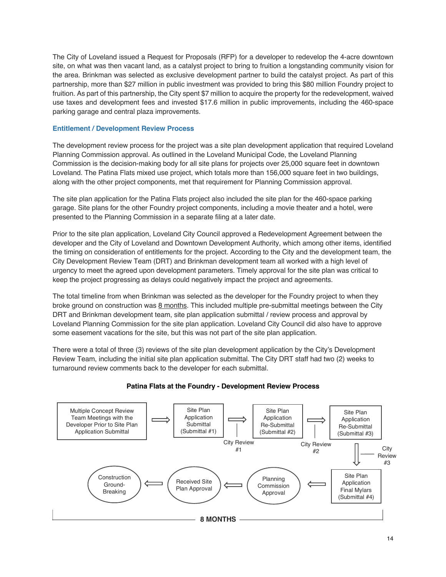The City of Loveland issued a Request for Proposals (RFP) for a developer to redevelop the 4-acre downtown site, on what was then vacant land, as a catalyst project to bring to fruition a longstanding community vision for the area. Brinkman was selected as exclusive development partner to build the catalyst project. As part of this partnership, more than \$27 million in public investment was provided to bring this \$80 million Foundry project to fruition. As part of this partnership, the City spent \$7 million to acquire the property for the redevelopment, waived use taxes and development fees and invested \$17.6 million in public improvements, including the 460-space parking garage and central plaza improvements.

#### **Entitlement / Development Review Process**

The development review process for the project was a site plan development application that required Loveland Planning Commission approval. As outlined in the Loveland Municipal Code, the Loveland Planning Commission is the decision-making body for all site plans for projects over 25,000 square feet in downtown Loveland. The Patina Flats mixed use project, which totals more than 156,000 square feet in two buildings, along with the other project components, met that requirement for Planning Commission approval.

The site plan application for the Patina Flats project also included the site plan for the 460-space parking garage. Site plans for the other Foundry project components, including a movie theater and a hotel, were presented to the Planning Commission in a separate filing at a later date.

Prior to the site plan application, Loveland City Council approved a Redevelopment Agreement between the developer and the City of Loveland and Downtown Development Authority, which among other items, identified the timing on consideration of entitlements for the project. According to the City and the development team, the City Development Review Team (DRT) and Brinkman development team all worked with a high level of urgency to meet the agreed upon development parameters. Timely approval for the site plan was critical to keep the project progressing as delays could negatively impact the project and agreements.

The total timeline from when Brinkman was selected as the developer for the Foundry project to when they broke ground on construction was 8 months. This included multiple pre-submittal meetings between the City DRT and Brinkman development team, site plan application submittal / review process and approval by Loveland Planning Commission for the site plan application. Loveland City Council did also have to approve some easement vacations for the site, but this was not part of the site plan application.

There were a total of three (3) reviews of the site plan development application by the City's Development Review Team, including the initial site plan application submittal. The City DRT staff had two (2) weeks to turnaround review comments back to the developer for each submittal.



# **Patina Flats at the Foundry - Development Review Process**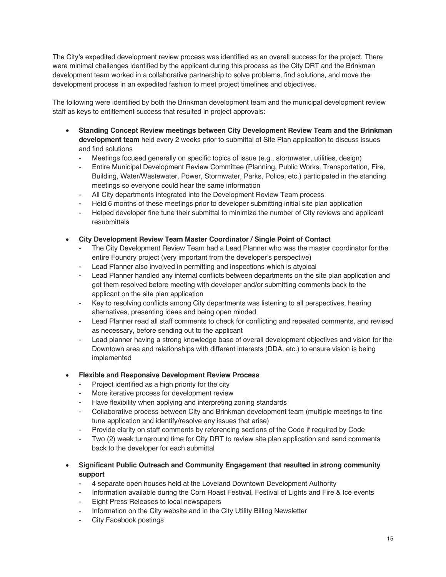The City's expedited development review process was identified as an overall success for the project. There were minimal challenges identified by the applicant during this process as the City DRT and the Brinkman development team worked in a collaborative partnership to solve problems, find solutions, and move the development process in an expedited fashion to meet project timelines and objectives.

The following were identified by both the Brinkman development team and the municipal development review staff as keys to entitlement success that resulted in project approvals:

- **Standing Concept Review meetings between City Development Review Team and the Brinkman**  development team held **every 2 weeks** prior to submittal of Site Plan application to discuss issues and find solutions
	- Meetings focused generally on specific topics of issue (e.g., stormwater, utilities, design)
	- Entire Municipal Development Review Committee (Planning, Public Works, Transportation, Fire, Building, Water/Wastewater, Power, Stormwater, Parks, Police, etc.) participated in the standing meetings so everyone could hear the same information
	- All City departments integrated into the Development Review Team process
	- Held 6 months of these meetings prior to developer submitting initial site plan application
	- Helped developer fine tune their submittal to minimize the number of City reviews and applicant resubmittals
- **City Development Review Team Master Coordinator / Single Point of Contact**
	- The City Development Review Team had a Lead Planner who was the master coordinator for the entire Foundry project (very important from the developer's perspective)
	- Lead Planner also involved in permitting and inspections which is atypical
	- Lead Planner handled any internal conflicts between departments on the site plan application and got them resolved before meeting with developer and/or submitting comments back to the applicant on the site plan application
	- Key to resolving conflicts among City departments was listening to all perspectives, hearing alternatives, presenting ideas and being open minded
	- Lead Planner read all staff comments to check for conflicting and repeated comments, and revised as necessary, before sending out to the applicant
	- Lead planner having a strong knowledge base of overall development objectives and vision for the Downtown area and relationships with different interests (DDA, etc.) to ensure vision is being implemented
- **Flexible and Responsive Development Review Process**
	- Project identified as a high priority for the city
	- More iterative process for development review
	- Have flexibility when applying and interpreting zoning standards
	- Collaborative process between City and Brinkman development team (multiple meetings to fine tune application and identify/resolve any issues that arise)
	- Provide clarity on staff comments by referencing sections of the Code if required by Code
	- Two (2) week turnaround time for City DRT to review site plan application and send comments back to the developer for each submittal

# • **Significant Public Outreach and Community Engagement that resulted in strong community support**

- 4 separate open houses held at the Loveland Downtown Development Authority
- Information available during the Corn Roast Festival, Festival of Lights and Fire & Ice events
- Eight Press Releases to local newspapers
- Information on the City website and in the City Utility Billing Newsletter
- City Facebook postings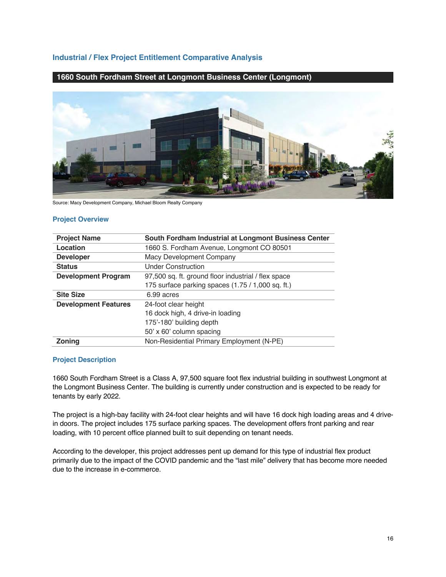# **Industrial / Flex Project Entitlement Comparative Analysis**

# **1660 South Fordham Street at Longmont Business Center (Longmont)**



Source: Macy Development Company, Michael Bloom Realty Company

#### **Project Overview**

| <b>Project Name</b>         | South Fordham Industrial at Longmont Business Center |  |
|-----------------------------|------------------------------------------------------|--|
| Location                    | 1660 S. Fordham Avenue, Longmont CO 80501            |  |
| <b>Developer</b>            | Macy Development Company                             |  |
| <b>Status</b>               | <b>Under Construction</b>                            |  |
| <b>Development Program</b>  | 97,500 sq. ft. ground floor industrial / flex space  |  |
|                             | 175 surface parking spaces (1.75 / 1,000 sq. ft.)    |  |
| <b>Site Size</b>            | 6.99 acres                                           |  |
| <b>Development Features</b> | 24-foot clear height                                 |  |
|                             | 16 dock high, 4 drive-in loading                     |  |
|                             | 175'-180' building depth                             |  |
|                             | 50' x 60' column spacing                             |  |
| <b>Zoning</b>               | Non-Residential Primary Employment (N-PE)            |  |

#### **Project Description**

1660 South Fordham Street is a Class A, 97,500 square foot flex industrial building in southwest Longmont at the Longmont Business Center. The building is currently under construction and is expected to be ready for tenants by early 2022.

The project is a high-bay facility with 24-foot clear heights and will have 16 dock high loading areas and 4 drivein doors. The project includes 175 surface parking spaces. The development offers front parking and rear loading, with 10 percent office planned built to suit depending on tenant needs.

According to the developer, this project addresses pent up demand for this type of industrial flex product primarily due to the impact of the COVID pandemic and the "last mile" delivery that has become more needed due to the increase in e-commerce.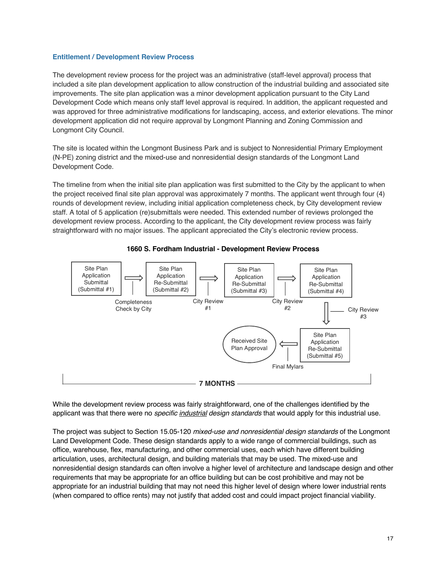#### **Entitlement / Development Review Process**

The development review process for the project was an administrative (staff-level approval) process that included a site plan development application to allow construction of the industrial building and associated site improvements. The site plan application was a minor development application pursuant to the City Land Development Code which means only staff level approval is required. In addition, the applicant requested and was approved for three administrative modifications for landscaping, access, and exterior elevations. The minor development application did not require approval by Longmont Planning and Zoning Commission and Longmont City Council.

The site is located within the Longmont Business Park and is subject to Nonresidential Primary Employment (N-PE) zoning district and the mixed-use and nonresidential design standards of the Longmont Land Development Code.

The timeline from when the initial site plan application was first submitted to the City by the applicant to when the project received final site plan approval was approximately 7 months. The applicant went through four (4) rounds of development review, including initial application completeness check, by City development review staff. A total of 5 application (re)submittals were needed. This extended number of reviews prolonged the development review process. According to the applicant, the City development review process was fairly straightforward with no major issues. The applicant appreciated the City's electronic review process.





While the development review process was fairly straightforward, one of the challenges identified by the applicant was that there were no *specific industrial design standards* that would apply for this industrial use.

The project was subject to Section 15.05-120 *mixed-use and nonresidential design standards* of the Longmont Land Development Code. These design standards apply to a wide range of commercial buildings, such as office, warehouse, flex, manufacturing, and other commercial uses, each which have different building articulation, uses, architectural design, and building materials that may be used. The mixed-use and nonresidential design standards can often involve a higher level of architecture and landscape design and other requirements that may be appropriate for an office building but can be cost prohibitive and may not be appropriate for an industrial building that may not need this higher level of design where lower industrial rents (when compared to office rents) may not justify that added cost and could impact project financial viability.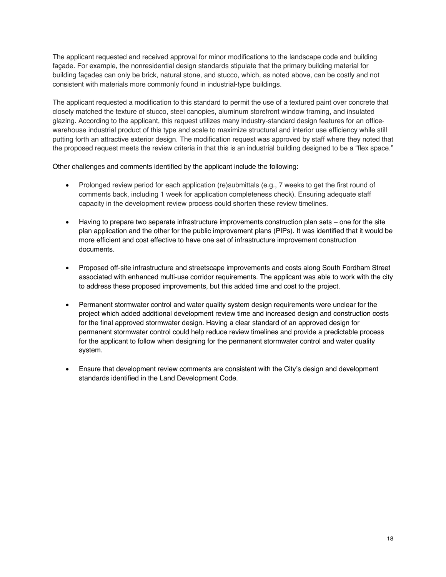The applicant requested and received approval for minor modifications to the landscape code and building façade. For example, the nonresidential design standards stipulate that the primary building material for building façades can only be brick, natural stone, and stucco, which, as noted above, can be costly and not consistent with materials more commonly found in industrial-type buildings.

The applicant requested a modification to this standard to permit the use of a textured paint over concrete that closely matched the texture of stucco, steel canopies, aluminum storefront window framing, and insulated glazing. According to the applicant, this request utilizes many industry-standard design features for an officewarehouse industrial product of this type and scale to maximize structural and interior use efficiency while still putting forth an attractive exterior design. The modification request was approved by staff where they noted that the proposed request meets the review criteria in that this is an industrial building designed to be a "flex space."

Other challenges and comments identified by the applicant include the following:

- Prolonged review period for each application (re)submittals (e.g., 7 weeks to get the first round of comments back, including 1 week for application completeness check). Ensuring adequate staff capacity in the development review process could shorten these review timelines.
- Having to prepare two separate infrastructure improvements construction plan sets one for the site plan application and the other for the public improvement plans (PIPs). It was identified that it would be more efficient and cost effective to have one set of infrastructure improvement construction documents.
- Proposed off-site infrastructure and streetscape improvements and costs along South Fordham Street associated with enhanced multi-use corridor requirements. The applicant was able to work with the city to address these proposed improvements, but this added time and cost to the project.
- Permanent stormwater control and water quality system design requirements were unclear for the project which added additional development review time and increased design and construction costs for the final approved stormwater design. Having a clear standard of an approved design for permanent stormwater control could help reduce review timelines and provide a predictable process for the applicant to follow when designing for the permanent stormwater control and water quality system.
- Ensure that development review comments are consistent with the City's design and development standards identified in the Land Development Code.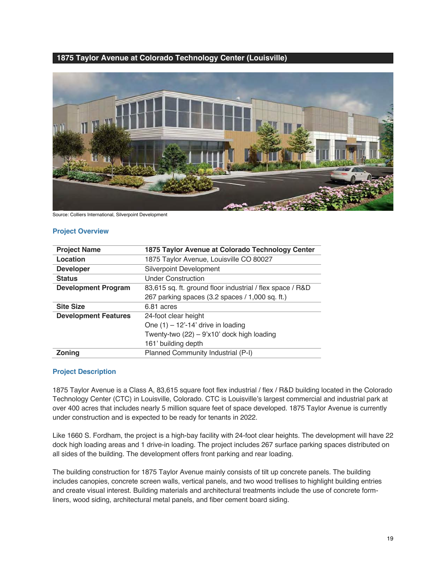#### **1875 Taylor Avenue at Colorado Technology Center (Louisville)**



Source: Colliers International, Silverpoint Development

#### **Project Overview**

| <b>Project Name</b>         | 1875 Taylor Avenue at Colorado Technology Center          |  |
|-----------------------------|-----------------------------------------------------------|--|
| Location                    | 1875 Taylor Avenue, Louisville CO 80027                   |  |
| <b>Developer</b>            | Silverpoint Development                                   |  |
| <b>Status</b>               | <b>Under Construction</b>                                 |  |
| <b>Development Program</b>  | 83,615 sq. ft. ground floor industrial / flex space / R&D |  |
|                             | 267 parking spaces (3.2 spaces / 1,000 sq. ft.)           |  |
| <b>Site Size</b>            | 6.81 acres                                                |  |
| <b>Development Features</b> | 24-foot clear height                                      |  |
|                             | One $(1) - 12' - 14'$ drive in loading                    |  |
|                             | Twenty-two (22) - 9'x10' dock high loading                |  |
|                             | 161' building depth                                       |  |
| <b>Zoning</b>               | Planned Community Industrial (P-I)                        |  |

#### **Project Description**

1875 Taylor Avenue is a Class A, 83,615 square foot flex industrial / flex / R&D building located in the Colorado Technology Center (CTC) in Louisville, Colorado. CTC is Louisville's largest commercial and industrial park at over 400 acres that includes nearly 5 million square feet of space developed. 1875 Taylor Avenue is currently under construction and is expected to be ready for tenants in 2022.

Like 1660 S. Fordham, the project is a high-bay facility with 24-foot clear heights. The development will have 22 dock high loading areas and 1 drive-in loading. The project includes 267 surface parking spaces distributed on all sides of the building. The development offers front parking and rear loading.

The building construction for 1875 Taylor Avenue mainly consists of tilt up concrete panels. The building includes canopies, concrete screen walls, vertical panels, and two wood trellises to highlight building entries and create visual interest. Building materials and architectural treatments include the use of concrete formliners, wood siding, architectural metal panels, and fiber cement board siding.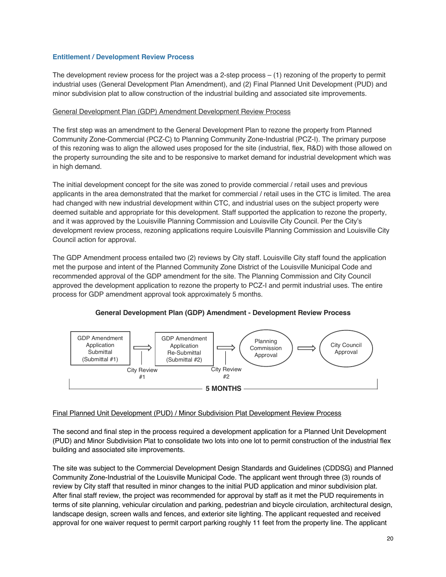#### **Entitlement / Development Review Process**

The development review process for the project was a 2-step process – (1) rezoning of the property to permit industrial uses (General Development Plan Amendment), and (2) Final Planned Unit Development (PUD) and minor subdivision plat to allow construction of the industrial building and associated site improvements.

#### General Development Plan (GDP) Amendment Development Review Process

The first step was an amendment to the General Development Plan to rezone the property from Planned Community Zone-Commercial (PCZ-C) to Planning Community Zone-Industrial (PCZ-I). The primary purpose of this rezoning was to align the allowed uses proposed for the site (industrial, flex, R&D) with those allowed on the property surrounding the site and to be responsive to market demand for industrial development which was in high demand.

The initial development concept for the site was zoned to provide commercial / retail uses and previous applicants in the area demonstrated that the market for commercial / retail uses in the CTC is limited. The area had changed with new industrial development within CTC, and industrial uses on the subject property were deemed suitable and appropriate for this development. Staff supported the application to rezone the property, and it was approved by the Louisville Planning Commission and Louisville City Council. Per the City's development review process, rezoning applications require Louisville Planning Commission and Louisville City Council action for approval.

The GDP Amendment process entailed two (2) reviews by City staff. Louisville City staff found the application met the purpose and intent of the Planned Community Zone District of the Louisville Municipal Code and recommended approval of the GDP amendment for the site. The Planning Commission and City Council approved the development application to rezone the property to PCZ-I and permit industrial uses. The entire process for GDP amendment approval took approximately 5 months.



# **General Development Plan (GDP) Amendment - Development Review Process**

#### Final Planned Unit Development (PUD) / Minor Subdivision Plat Development Review Process

The second and final step in the process required a development application for a Planned Unit Development (PUD) and Minor Subdivision Plat to consolidate two lots into one lot to permit construction of the industrial flex building and associated site improvements.

The site was subject to the Commercial Development Design Standards and Guidelines (CDDSG) and Planned Community Zone-Industrial of the Louisville Municipal Code. The applicant went through three (3) rounds of review by City staff that resulted in minor changes to the initial PUD application and minor subdivision plat. After final staff review, the project was recommended for approval by staff as it met the PUD requirements in terms of site planning, vehicular circulation and parking, pedestrian and bicycle circulation, architectural design, landscape design, screen walls and fences, and exterior site lighting. The applicant requested and received approval for one waiver request to permit carport parking roughly 11 feet from the property line. The applicant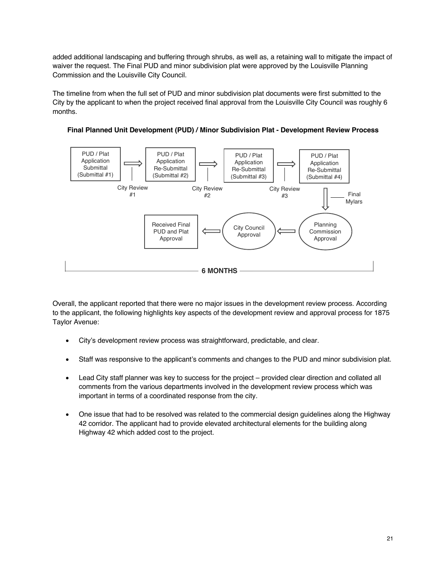added additional landscaping and buffering through shrubs, as well as, a retaining wall to mitigate the impact of waiver the request. The Final PUD and minor subdivision plat were approved by the Louisville Planning Commission and the Louisville City Council.

The timeline from when the full set of PUD and minor subdivision plat documents were first submitted to the City by the applicant to when the project received final approval from the Louisville City Council was roughly 6 months.



**Final Planned Unit Development (PUD) / Minor Subdivision Plat - Development Review Process**

Overall, the applicant reported that there were no major issues in the development review process. According to the applicant, the following highlights key aspects of the development review and approval process for 1875 Taylor Avenue:

- City's development review process was straightforward, predictable, and clear.
- Staff was responsive to the applicant's comments and changes to the PUD and minor subdivision plat.
- Lead City staff planner was key to success for the project provided clear direction and collated all comments from the various departments involved in the development review process which was important in terms of a coordinated response from the city.
- One issue that had to be resolved was related to the commercial design guidelines along the Highway 42 corridor. The applicant had to provide elevated architectural elements for the building along Highway 42 which added cost to the project.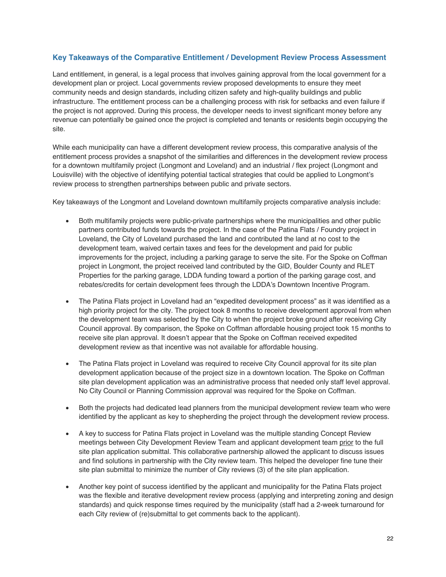# **Key Takeaways of the Comparative Entitlement / Development Review Process Assessment**

Land entitlement, in general, is a legal process that involves gaining approval from the local government for a development plan or project. Local governments review proposed developments to ensure they meet community needs and design standards, including citizen safety and high-quality buildings and public infrastructure. The entitlement process can be a challenging process with risk for setbacks and even failure if the project is not approved. During this process, the developer needs to invest significant money before any revenue can potentially be gained once the project is completed and tenants or residents begin occupying the site.

While each municipality can have a different development review process, this comparative analysis of the entitlement process provides a snapshot of the similarities and differences in the development review process for a downtown multifamily project (Longmont and Loveland) and an industrial / flex project (Longmont and Louisville) with the objective of identifying potential tactical strategies that could be applied to Longmont's review process to strengthen partnerships between public and private sectors.

Key takeaways of the Longmont and Loveland downtown multifamily projects comparative analysis include:

- Both multifamily projects were public-private partnerships where the municipalities and other public partners contributed funds towards the project. In the case of the Patina Flats / Foundry project in Loveland, the City of Loveland purchased the land and contributed the land at no cost to the development team, waived certain taxes and fees for the development and paid for public improvements for the project, including a parking garage to serve the site. For the Spoke on Coffman project in Longmont, the project received land contributed by the GID, Boulder County and RLET Properties for the parking garage, LDDA funding toward a portion of the parking garage cost, and rebates/credits for certain development fees through the LDDA's Downtown Incentive Program.
- The Patina Flats project in Loveland had an "expedited development process" as it was identified as a high priority project for the city. The project took 8 months to receive development approval from when the development team was selected by the City to when the project broke ground after receiving City Council approval. By comparison, the Spoke on Coffman affordable housing project took 15 months to receive site plan approval. It doesn't appear that the Spoke on Coffman received expedited development review as that incentive was not available for affordable housing.
- The Patina Flats project in Loveland was required to receive City Council approval for its site plan development application because of the project size in a downtown location. The Spoke on Coffman site plan development application was an administrative process that needed only staff level approval. No City Council or Planning Commission approval was required for the Spoke on Coffman.
- Both the projects had dedicated lead planners from the municipal development review team who were identified by the applicant as key to shepherding the project through the development review process.
- A key to success for Patina Flats project in Loveland was the multiple standing Concept Review meetings between City Development Review Team and applicant development team prior to the full site plan application submittal. This collaborative partnership allowed the applicant to discuss issues and find solutions in partnership with the City review team. This helped the developer fine tune their site plan submittal to minimize the number of City reviews (3) of the site plan application.
- Another key point of success identified by the applicant and municipality for the Patina Flats project was the flexible and iterative development review process (applying and interpreting zoning and design standards) and quick response times required by the municipality (staff had a 2-week turnaround for each City review of (re)submittal to get comments back to the applicant).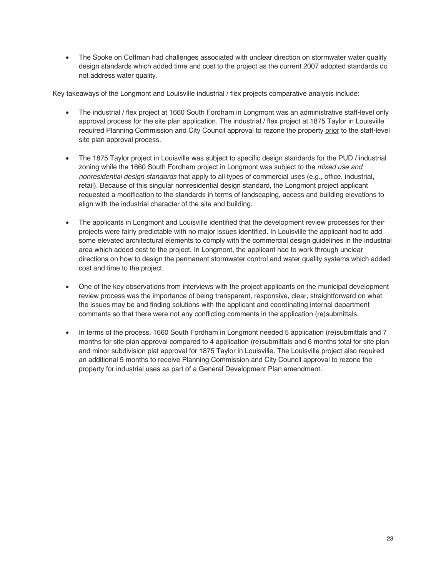• The Spoke on Coffman had challenges associated with unclear direction on stormwater water quality design standards which added time and cost to the project as the current 2007 adopted standards do not address water quality.

Key takeaways of the Longmont and Louisville industrial / flex projects comparative analysis include:

- The industrial / flex project at 1660 South Fordham in Longmont was an administrative staff-level only approval process for the site plan application. The industrial / flex project at 1875 Taylor in Louisville required Planning Commission and City Council approval to rezone the property prior to the staff-level site plan approval process.
- The 1875 Taylor project in Louisville was subject to specific design standards for the PUD / industrial zoning while the 1660 South Fordham project in Longmont was subject to the *mixed use and nonresidential design standards* that apply to all types of commercial uses (e.g., office, industrial, retail). Because of this singular nonresidential design standard, the Longmont project applicant requested a modification to the standards in terms of landscaping, access and building elevations to align with the industrial character of the site and building.
- The applicants in Longmont and Louisville identified that the development review processes for their projects were fairly predictable with no major issues identified. In Louisville the applicant had to add some elevated architectural elements to comply with the commercial design guidelines in the industrial area which added cost to the project. In Longmont, the applicant had to work through unclear directions on how to design the permanent stormwater control and water quality systems which added cost and time to the project.
- One of the key observations from interviews with the project applicants on the municipal development review process was the importance of being transparent, responsive, clear, straightforward on what the issues may be and finding solutions with the applicant and coordinating internal department comments so that there were not any conflicting comments in the application (re)submittals.
- In terms of the process, 1660 South Fordham in Longmont needed 5 application (re)submittals and 7 months for site plan approval compared to 4 application (re)submittals and 6 months total for site plan and minor subdivision plat approval for 1875 Taylor in Louisville. The Louisville project also required an additional 5 months to receive Planning Commission and City Council approval to rezone the property for industrial uses as part of a General Development Plan amendment.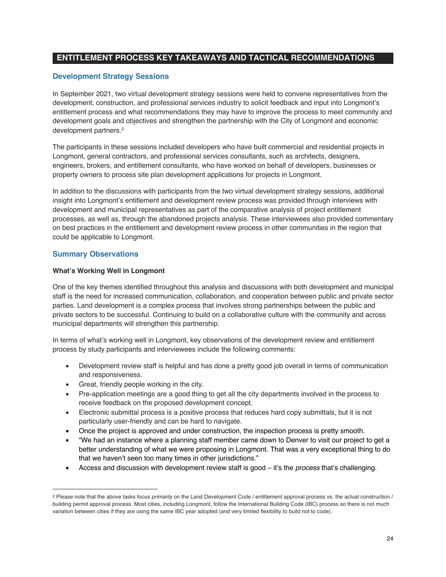# **ENTITLEMENT PROCESS KEY TAKEAWAYS AND TACTICAL RECOMMENDATIONS**

# **Development Strategy Sessions**

In September 2021, two virtual development strategy sessions were held to convene representatives from the development, construction, and professional services industry to solicit feedback and input into Longmont's entitlement process and what recommendations they may have to improve the process to meet community and development goals and objectives and strengthen the partnership with the City of Longmont and economic development partners.<sup>2</sup>

The participants in these sessions included developers who have built commercial and residential projects in Longmont, general contractors, and professional services consultants, such as architects, designers, engineers, brokers, and entitlement consultants, who have worked on behalf of developers, businesses or property owners to process site plan development applications for projects in Longmont.

In addition to the discussions with participants from the two virtual development strategy sessions, additional insight into Longmont's entitlement and development review process was provided through interviews with development and municipal representatives as part of the comparative analysis of project entitlement processes, as well as, through the abandoned projects analysis. These interviewees also provided commentary on best practices in the entitlement and development review process in other communities in the region that could be applicable to Longmont.

# **Summary Observations**

#### **What's Working Well in Longmont**

One of the key themes identified throughout this analysis and discussions with both development and municipal staff is the need for increased communication, collaboration, and cooperation between public and private sector parties. Land development is a complex process that involves strong partnerships between the public and private sectors to be successful. Continuing to build on a collaborative culture with the community and across municipal departments will strengthen this partnership.

In terms of what's working well in Longmont, key observations of the development review and entitlement process by study participants and interviewees include the following comments:

- Development review staff is helpful and has done a pretty good job overall in terms of communication and responsiveness.
- Great, friendly people working in the city.
- Pre-application meetings are a good thing to get all the city departments involved in the process to receive feedback on the proposed development concept.
- Electronic submittal process is a positive process that reduces hard copy submittals, but it is not particularly user-friendly and can be hard to navigate.
- Once the project is approved and under construction, the inspection process is pretty smooth.
- "We had an instance where a planning staff member came down to Denver to visit our project to get a better understanding of what we were proposing in Longmont. That was a very exceptional thing to do that we haven't seen too many times in other jurisdictions."
- Access and discussion with development review staff is good it's the *process* that's challenging.

<sup>2</sup> Please note that the above tasks focus *primarily* on the Land Development Code / entitlement approval process vs. the actual construction / building permit approval process. Most cities, including Longmont, follow the International Building Code (IBC) process so there is not much variation between cities if they are using the same IBC year adopted (and very limited flexibility to build not to code).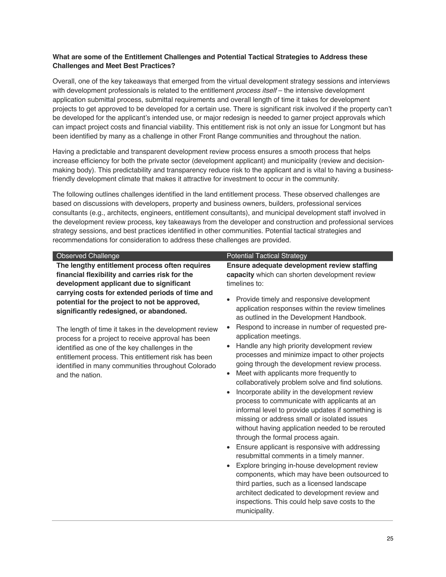#### **What are some of the Entitlement Challenges and Potential Tactical Strategies to Address these Challenges and Meet Best Practices?**

Overall, one of the key takeaways that emerged from the virtual development strategy sessions and interviews with development professionals is related to the entitlement *process itself* – the intensive development application submittal process, submittal requirements and overall length of time it takes for development projects to get approved to be developed for a certain use. There is significant risk involved if the property can't be developed for the applicant's intended use, or major redesign is needed to garner project approvals which can impact project costs and financial viability. This entitlement risk is not only an issue for Longmont but has been identified by many as a challenge in other Front Range communities and throughout the nation.

Having a predictable and transparent development review process ensures a smooth process that helps increase efficiency for both the private sector (development applicant) and municipality (review and decisionmaking body). This predictability and transparency reduce risk to the applicant and is vital to having a businessfriendly development climate that makes it attractive for investment to occur in the community.

The following outlines challenges identified in the land entitlement process. These observed challenges are based on discussions with developers, property and business owners, builders, professional services consultants (e.g., architects, engineers, entitlement consultants), and municipal development staff involved in the development review process, key takeaways from the developer and construction and professional services strategy sessions, and best practices identified in other communities. Potential tactical strategies and recommendations for consideration to address these challenges are provided.

**The lengthy entitlement process often requires financial flexibility and carries risk for the development applicant due to significant carrying costs for extended periods of time and potential for the project to not be approved, significantly redesigned, or abandoned.**

The length of time it takes in the development review process for a project to receive approval has been identified as one of the key challenges in the entitlement process. This entitlement risk has been identified in many communities throughout Colorado and the nation.

#### Observed Challenge **Potential Tactical Strategy** Potential Tactical Strategy

**Ensure adequate development review staffing capacity** which can shorten development review timelines to:

- Provide timely and responsive development application responses within the review timelines as outlined in the Development Handbook.
- Respond to increase in number of requested preapplication meetings.
- Handle any high priority development review processes and minimize impact to other projects going through the development review process.
- Meet with applicants more frequently to collaboratively problem solve and find solutions.
- Incorporate ability in the development review process to communicate with applicants at an informal level to provide updates if something is missing or address small or isolated issues without having application needed to be rerouted through the formal process again.
- Ensure applicant is responsive with addressing resubmittal comments in a timely manner.
- Explore bringing in-house development review components, which may have been outsourced to third parties, such as a licensed landscape architect dedicated to development review and inspections. This could help save costs to the municipality.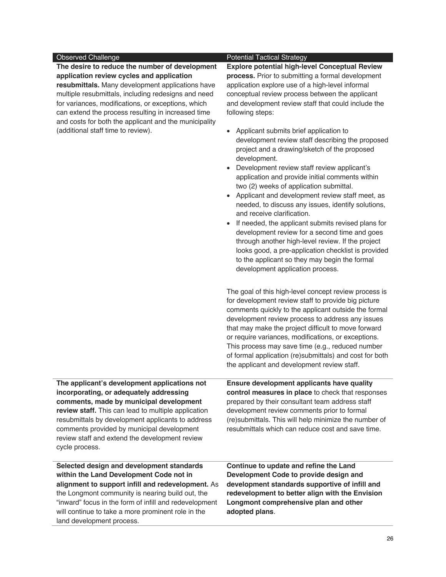**The desire to reduce the number of development application review cycles and application resubmittals.** Many development applications have multiple resubmittals, including redesigns and need for variances, modifications, or exceptions, which can extend the process resulting in increased time and costs for both the applicant and the municipality (additional staff time to review).

#### Observed Challenge **Potential Tactical Strategy**

**Explore potential high-level Conceptual Review process.** Prior to submitting a formal development application explore use of a high-level informal conceptual review process between the applicant and development review staff that could include the following steps:

- Applicant submits brief application to development review staff describing the proposed project and a drawing/sketch of the proposed development.
- Development review staff review applicant's application and provide initial comments within two (2) weeks of application submittal.
- Applicant and development review staff meet, as needed, to discuss any issues, identify solutions, and receive clarification.
- If needed, the applicant submits revised plans for development review for a second time and goes through another high-level review. If the project looks good, a pre-application checklist is provided to the applicant so they may begin the formal development application process.

The goal of this high-level concept review process is for development review staff to provide big picture comments quickly to the applicant outside the formal development review process to address any issues that may make the project difficult to move forward or require variances, modifications, or exceptions. This process may save time (e.g., reduced number of formal application (re)submittals) and cost for both the applicant and development review staff.

**The applicant's development applications not incorporating, or adequately addressing comments, made by municipal development review staff.** This can lead to multiple application resubmittals by development applicants to address comments provided by municipal development review staff and extend the development review cycle process. **Ensure development applicants have quality control measures in place** to check that responses prepared by their consultant team address staff development review comments prior to formal (re)submittals. This will help minimize the number of resubmittals which can reduce cost and save time.

**Selected design and development standards within the Land Development Code not in alignment to support infill and redevelopment.** As the Longmont community is nearing build out, the "inward" focus in the form of infill and redevelopment will continue to take a more prominent role in the land development process.

**Continue to update and refine the Land Development Code to provide design and development standards supportive of infill and redevelopment to better align with the Envision Longmont comprehensive plan and other adopted plans**.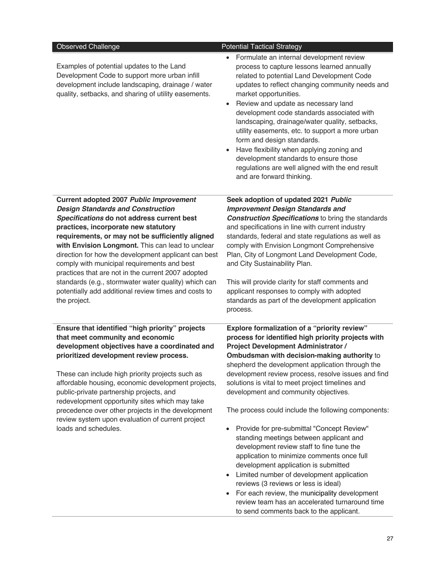| Observed Challenge                                                                                                                                                                                                                                                                                                                                                                                                                                                                                                                                                             | <b>Potential Tactical Strategy</b>                                                                                                                                                                                                                                                                                                                                                                                                                                                                                                                                                                                                                                                                                                                                                                                                                  |
|--------------------------------------------------------------------------------------------------------------------------------------------------------------------------------------------------------------------------------------------------------------------------------------------------------------------------------------------------------------------------------------------------------------------------------------------------------------------------------------------------------------------------------------------------------------------------------|-----------------------------------------------------------------------------------------------------------------------------------------------------------------------------------------------------------------------------------------------------------------------------------------------------------------------------------------------------------------------------------------------------------------------------------------------------------------------------------------------------------------------------------------------------------------------------------------------------------------------------------------------------------------------------------------------------------------------------------------------------------------------------------------------------------------------------------------------------|
| Examples of potential updates to the Land<br>Development Code to support more urban infill<br>development include landscaping, drainage / water<br>quality, setbacks, and sharing of utility easements.                                                                                                                                                                                                                                                                                                                                                                        | Formulate an internal development review<br>process to capture lessons learned annually<br>related to potential Land Development Code<br>updates to reflect changing community needs and<br>market opportunities.<br>Review and update as necessary land<br>$\bullet$<br>development code standards associated with<br>landscaping, drainage/water quality, setbacks,<br>utility easements, etc. to support a more urban<br>form and design standards.<br>Have flexibility when applying zoning and<br>development standards to ensure those<br>regulations are well aligned with the end result<br>and are forward thinking.                                                                                                                                                                                                                       |
| Current adopted 2007 Public Improvement<br><b>Design Standards and Construction</b><br>Specifications do not address current best<br>practices, incorporate new statutory<br>requirements, or may not be sufficiently aligned<br>with Envision Longmont. This can lead to unclear<br>direction for how the development applicant can best<br>comply with municipal requirements and best<br>practices that are not in the current 2007 adopted<br>standards (e.g., stormwater water quality) which can<br>potentially add additional review times and costs to<br>the project. | Seek adoption of updated 2021 Public<br><b>Improvement Design Standards and</b><br><b>Construction Specifications to bring the standards</b><br>and specifications in line with current industry<br>standards, federal and state regulations as well as<br>comply with Envision Longmont Comprehensive<br>Plan, City of Longmont Land Development Code,<br>and City Sustainability Plan.<br>This will provide clarity for staff comments and<br>applicant responses to comply with adopted<br>standards as part of the development application<br>process.                                                                                                                                                                                                                                                                                          |
| Ensure that identified "high priority" projects<br>that meet community and economic<br>development objectives have a coordinated and<br>prioritized development review process.<br>These can include high priority projects such as<br>affordable housing, economic development projects,<br>public-private partnership projects, and<br>redevelopment opportunity sites which may take<br>precedence over other projects in the development<br>review system upon evaluation of current project<br>loads and schedules.                                                       | Explore formalization of a "priority review"<br>process for identified high priority projects with<br>Project Development Administrator /<br>Ombudsman with decision-making authority to<br>shepherd the development application through the<br>development review process, resolve issues and find<br>solutions is vital to meet project timelines and<br>development and community objectives.<br>The process could include the following components:<br>Provide for pre-submittal "Concept Review"<br>$\bullet$<br>standing meetings between applicant and<br>development review staff to fine tune the<br>application to minimize comments once full<br>development application is submitted<br>Limited number of development application<br>reviews (3 reviews or less is ideal)<br>For each review, the municipality development<br>$\bullet$ |
|                                                                                                                                                                                                                                                                                                                                                                                                                                                                                                                                                                                | review team has an accelerated turnaround time<br>to send comments back to the applicant.                                                                                                                                                                                                                                                                                                                                                                                                                                                                                                                                                                                                                                                                                                                                                           |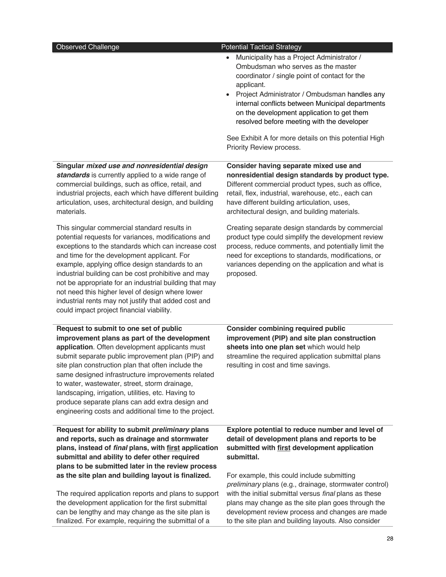| <b>Observed Challenge</b>                                                                                                                                                                                                                                                                                                                                                                                                                                                                                                              | <b>Potential Tactical Strategy</b>                                                                                                                                                                                                                                                                                                                                                                                                                              |
|----------------------------------------------------------------------------------------------------------------------------------------------------------------------------------------------------------------------------------------------------------------------------------------------------------------------------------------------------------------------------------------------------------------------------------------------------------------------------------------------------------------------------------------|-----------------------------------------------------------------------------------------------------------------------------------------------------------------------------------------------------------------------------------------------------------------------------------------------------------------------------------------------------------------------------------------------------------------------------------------------------------------|
|                                                                                                                                                                                                                                                                                                                                                                                                                                                                                                                                        | Municipality has a Project Administrator /<br>$\bullet$<br>Ombudsman who serves as the master<br>coordinator / single point of contact for the<br>applicant.<br>Project Administrator / Ombudsman handles any<br>$\bullet$<br>internal conflicts between Municipal departments<br>on the development application to get them<br>resolved before meeting with the developer<br>See Exhibit A for more details on this potential High<br>Priority Review process. |
| Singular mixed use and nonresidential design<br>standards is currently applied to a wide range of<br>commercial buildings, such as office, retail, and<br>industrial projects, each which have different building<br>articulation, uses, architectural design, and building<br>materials.                                                                                                                                                                                                                                              | Consider having separate mixed use and<br>nonresidential design standards by product type.<br>Different commercial product types, such as office,<br>retail, flex, industrial, warehouse, etc., each can<br>have different building articulation, uses,<br>architectural design, and building materials.                                                                                                                                                        |
| This singular commercial standard results in<br>potential requests for variances, modifications and<br>exceptions to the standards which can increase cost<br>and time for the development applicant. For<br>example, applying office design standards to an<br>industrial building can be cost prohibitive and may<br>not be appropriate for an industrial building that may<br>not need this higher level of design where lower<br>industrial rents may not justify that added cost and<br>could impact project financial viability. | Creating separate design standards by commercial<br>product type could simplify the development review<br>process, reduce comments, and potentially limit the<br>need for exceptions to standards, modifications, or<br>variances depending on the application and what is<br>proposed.                                                                                                                                                                         |
| Request to submit to one set of public<br>improvement plans as part of the development<br>application. Often development applicants must<br>submit separate public improvement plan (PIP) and<br>site plan construction plan that often include the<br>same designed infrastructure improvements related<br>to water, wastewater, street, storm drainage,<br>landscaping, irrigation, utilities, etc. Having to<br>produce separate plans can add extra design and<br>engineering costs and additional time to the project.            | <b>Consider combining required public</b><br>improvement (PIP) and site plan construction<br>sheets into one plan set which would help<br>streamline the required application submittal plans<br>resulting in cost and time savings.                                                                                                                                                                                                                            |
| Request for ability to submit preliminary plans<br>and reports, such as drainage and stormwater<br>plans, instead of final plans, with first application<br>submittal and ability to defer other required<br>plans to be submitted later in the review process<br>as the site plan and building layout is finalized.                                                                                                                                                                                                                   | Explore potential to reduce number and level of<br>detail of development plans and reports to be<br>submitted with first development application<br>submittal.<br>For example, this could include submitting                                                                                                                                                                                                                                                    |
| The required application reports and plans to support<br>the development application for the first submittal<br>can be lengthy and may change as the site plan is<br>finalized. For example, requiring the submittal of a                                                                                                                                                                                                                                                                                                              | preliminary plans (e.g., drainage, stormwater control)<br>with the initial submittal versus final plans as these<br>plans may change as the site plan goes through the<br>development review process and changes are made<br>to the site plan and building layouts. Also consider                                                                                                                                                                               |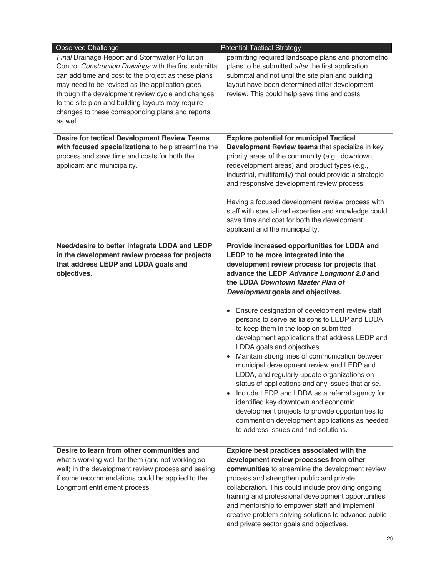| <b>Observed Challenge</b>                                                                                                                                                                                                                                                                                                                                                                  | <b>Potential Tactical Strategy</b>                                                                                                                                                                                                                                                                                                                                                                                                                                                                                                                                                                                                                                                                                                                                                                                                                                                                                                                                      |
|--------------------------------------------------------------------------------------------------------------------------------------------------------------------------------------------------------------------------------------------------------------------------------------------------------------------------------------------------------------------------------------------|-------------------------------------------------------------------------------------------------------------------------------------------------------------------------------------------------------------------------------------------------------------------------------------------------------------------------------------------------------------------------------------------------------------------------------------------------------------------------------------------------------------------------------------------------------------------------------------------------------------------------------------------------------------------------------------------------------------------------------------------------------------------------------------------------------------------------------------------------------------------------------------------------------------------------------------------------------------------------|
| Final Drainage Report and Stormwater Pollution<br>Control Construction Drawings with the first submittal<br>can add time and cost to the project as these plans<br>may need to be revised as the application goes<br>through the development review cycle and changes<br>to the site plan and building layouts may require<br>changes to these corresponding plans and reports<br>as well. | permitting required landscape plans and photometric<br>plans to be submitted after the first application<br>submittal and not until the site plan and building<br>layout have been determined after development<br>review. This could help save time and costs.                                                                                                                                                                                                                                                                                                                                                                                                                                                                                                                                                                                                                                                                                                         |
| <b>Desire for tactical Development Review Teams</b><br>with focused specializations to help streamline the<br>process and save time and costs for both the<br>applicant and municipality.                                                                                                                                                                                                  | <b>Explore potential for municipal Tactical</b><br>Development Review teams that specialize in key<br>priority areas of the community (e.g., downtown,<br>redevelopment areas) and product types (e.g.,<br>industrial, multifamily) that could provide a strategic<br>and responsive development review process.<br>Having a focused development review process with<br>staff with specialized expertise and knowledge could<br>save time and cost for both the development<br>applicant and the municipality.                                                                                                                                                                                                                                                                                                                                                                                                                                                          |
| Need/desire to better integrate LDDA and LEDP<br>in the development review process for projects<br>that address LEDP and LDDA goals and<br>objectives.                                                                                                                                                                                                                                     | Provide increased opportunities for LDDA and<br>LEDP to be more integrated into the<br>development review process for projects that<br>advance the LEDP Advance Longmont 2.0 and<br>the LDDA Downtown Master Plan of<br>Development goals and objectives.<br>Ensure designation of development review staff<br>$\bullet$<br>persons to serve as liaisons to LEDP and LDDA<br>to keep them in the loop on submitted<br>development applications that address LEDP and<br>LDDA goals and objectives.<br>Maintain strong lines of communication between<br>$\bullet$<br>municipal development review and LEDP and<br>LDDA, and regularly update organizations on<br>status of applications and any issues that arise.<br>Include LEDP and LDDA as a referral agency for<br>$\bullet$<br>identified key downtown and economic<br>development projects to provide opportunities to<br>comment on development applications as needed<br>to address issues and find solutions. |
| Desire to learn from other communities and<br>what's working well for them (and not working so<br>well) in the development review process and seeing<br>if some recommendations could be applied to the<br>Longmont entitlement process.                                                                                                                                                   | Explore best practices associated with the<br>development review processes from other<br>communities to streamline the development review<br>process and strengthen public and private<br>collaboration. This could include providing ongoing<br>training and professional development opportunities<br>and mentorship to empower staff and implement<br>creative problem-solving solutions to advance public<br>and private sector goals and objectives.                                                                                                                                                                                                                                                                                                                                                                                                                                                                                                               |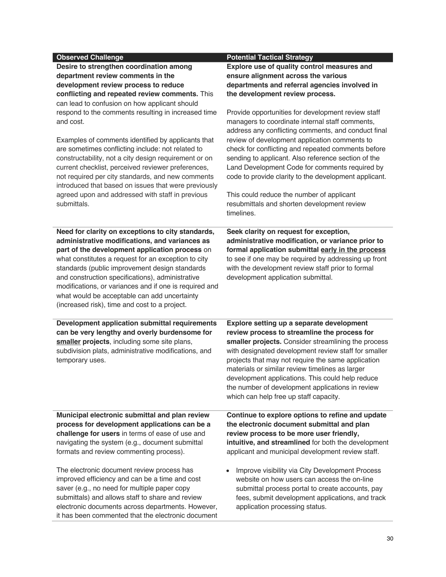| <b>Observed Challenge</b><br>Desire to strengthen coordination among<br>department review comments in the<br>development review process to reduce<br>conflicting and repeated review comments. This<br>can lead to confusion on how applicant should<br>respond to the comments resulting in increased time<br>and cost.<br>Examples of comments identified by applicants that<br>are sometimes conflicting include: not related to<br>constructability, not a city design requirement or on<br>current checklist, perceived reviewer preferences,<br>not required per city standards, and new comments<br>introduced that based on issues that were previously<br>agreed upon and addressed with staff in previous<br>submittals. | <b>Potential Tactical Strategy</b><br>Explore use of quality control measures and<br>ensure alignment across the various<br>departments and referral agencies involved in<br>the development review process.<br>Provide opportunities for development review staff<br>managers to coordinate internal staff comments,<br>address any conflicting comments, and conduct final<br>review of development application comments to<br>check for conflicting and repeated comments before<br>sending to applicant. Also reference section of the<br>Land Development Code for comments required by<br>code to provide clarity to the development applicant.<br>This could reduce the number of applicant<br>resubmittals and shorten development review<br>timelines. |
|------------------------------------------------------------------------------------------------------------------------------------------------------------------------------------------------------------------------------------------------------------------------------------------------------------------------------------------------------------------------------------------------------------------------------------------------------------------------------------------------------------------------------------------------------------------------------------------------------------------------------------------------------------------------------------------------------------------------------------|-----------------------------------------------------------------------------------------------------------------------------------------------------------------------------------------------------------------------------------------------------------------------------------------------------------------------------------------------------------------------------------------------------------------------------------------------------------------------------------------------------------------------------------------------------------------------------------------------------------------------------------------------------------------------------------------------------------------------------------------------------------------|
| Need for clarity on exceptions to city standards,<br>administrative modifications, and variances as<br>part of the development application process on<br>what constitutes a request for an exception to city<br>standards (public improvement design standards<br>and construction specifications), administrative<br>modifications, or variances and if one is required and<br>what would be acceptable can add uncertainty<br>(increased risk), time and cost to a project.                                                                                                                                                                                                                                                      | Seek clarity on request for exception,<br>administrative modification, or variance prior to<br>formal application submittal early in the process<br>to see if one may be required by addressing up front<br>with the development review staff prior to formal<br>development application submittal.                                                                                                                                                                                                                                                                                                                                                                                                                                                             |
| Development application submittal requirements<br>can be very lengthy and overly burdensome for<br>smaller projects, including some site plans,<br>subdivision plats, administrative modifications, and<br>temporary uses.                                                                                                                                                                                                                                                                                                                                                                                                                                                                                                         | Explore setting up a separate development<br>review process to streamline the process for<br>smaller projects. Consider streamlining the process<br>with designated development review staff for smaller<br>projects that may not require the same application<br>materials or similar review timelines as larger<br>development applications. This could help reduce<br>the number of development applications in review<br>which can help free up staff capacity.                                                                                                                                                                                                                                                                                             |
| Municipal electronic submittal and plan review<br>process for development applications can be a<br>challenge for users in terms of ease of use and<br>navigating the system (e.g., document submittal<br>formats and review commenting process).<br>The electronic document review process has<br>improved efficiency and can be a time and cost                                                                                                                                                                                                                                                                                                                                                                                   | Continue to explore options to refine and update<br>the electronic document submittal and plan<br>review process to be more user friendly,<br>intuitive, and streamlined for both the development<br>applicant and municipal development review staff.<br>Improve visibility via City Development Process<br>website on how users can access the on-line                                                                                                                                                                                                                                                                                                                                                                                                        |
| saver (e.g., no need for multiple paper copy<br>submittals) and allows staff to share and review<br>electronic documents across departments. However,<br>it has been commented that the electronic document                                                                                                                                                                                                                                                                                                                                                                                                                                                                                                                        | submittal process portal to create accounts, pay<br>fees, submit development applications, and track<br>application processing status.                                                                                                                                                                                                                                                                                                                                                                                                                                                                                                                                                                                                                          |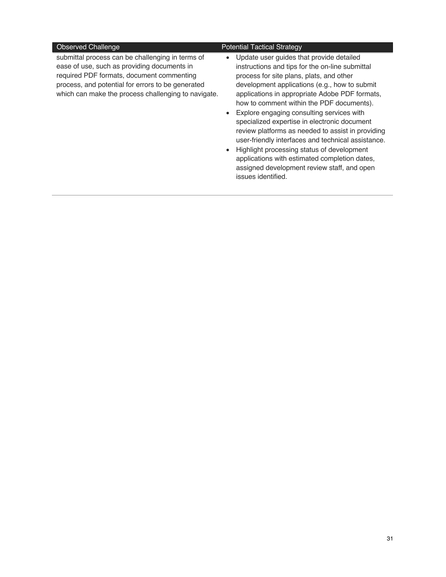submittal process can be challenging in terms of ease of use, such as providing documents in required PDF formats, document commenting process, and potential for errors to be generated which can make the process challenging to navigate.

#### Observed Challenge **Potential Tactical Strategy**

- Update user guides that provide detailed instructions and tips for the on-line submittal process for site plans, plats, and other development applications (e.g., how to submit applications in appropriate Adobe PDF formats, how to comment within the PDF documents).
- Explore engaging consulting services with specialized expertise in electronic document review platforms as needed to assist in providing user-friendly interfaces and technical assistance.
- Highlight processing status of development applications with estimated completion dates, assigned development review staff, and open issues identified.